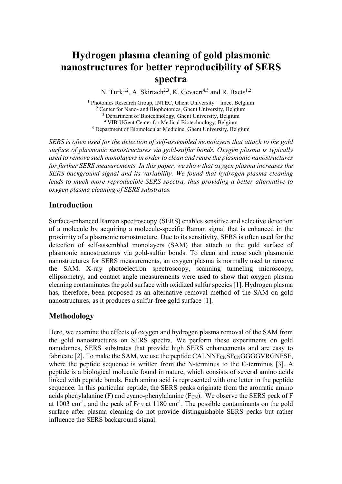# **Hydrogen plasma cleaning of gold plasmonic nanostructures for better reproducibility of SERS spectra**

N. Turk<sup>1,2</sup>, A. Skirtach<sup>2,3</sup>, K. Gevaert<sup>4,5</sup> and R. Baets<sup>1,2</sup>

<sup>1</sup> Photonics Research Group, INTEC, Ghent University – imec, Belgium <sup>2</sup> Center for Nano- and Biophotonics, Ghent University, Belgium <sup>3</sup> Department of Biotechnology, Ghent University, Belgium <sup>4</sup> VIB-UGent Center for Medical Biotechnology, Belgium <sup>5</sup> Department of Biomolecular Medicine, Ghent University, Belgium

*SERS is often used for the detection of self-assembled monolayers that attach to the gold surface of plasmonic nanostructures via gold-sulfur bonds. Oxygen plasma is typically used to remove such monolayers in order to clean and reuse the plasmonic nanostructures for further SERS measurements. In this paper, we show that oxygen plasma increases the SERS background signal and its variability. We found that hydrogen plasma cleaning leads to much more reproducible SERS spectra, thus providing a better alternative to oxygen plasma cleaning of SERS substrates.* 

### **Introduction**

Surface-enhanced Raman spectroscopy (SERS) enables sensitive and selective detection of a molecule by acquiring a molecule-specific Raman signal that is enhanced in the proximity of a plasmonic nanostructure. Due to its sensitivity, SERS is often used for the detection of self-assembled monolayers (SAM) that attach to the gold surface of plasmonic nanostructures via gold-sulfur bonds. To clean and reuse such plasmonic nanostructures for SERS measurements, an oxygen plasma is normally used to remove the SAM. X-ray photoelectron spectroscopy, scanning tunneling microscopy, ellipsometry, and contact angle measurements were used to show that oxygen plasma cleaning contaminates the gold surface with oxidized sulfur species [1]. Hydrogen plasma has, therefore, been proposed as an alternative removal method of the SAM on gold nanostructures, as it produces a sulfur-free gold surface [1].

## **Methodology**

Here, we examine the effects of oxygen and hydrogen plasma removal of the SAM from the gold nanostructures on SERS spectra. We perform these experiments on gold nanodomes, SERS substrates that provide high SERS enhancements and are easy to fabricate [2]. To make the SAM, we use the peptide  $CALNNF_{CN}S_{T}GGGVRGNFSF$ , where the peptide sequence is written from the N-terminus to the C-terminus [3]. A peptide is a biological molecule found in nature, which consists of several amino acids linked with peptide bonds. Each amino acid is represented with one letter in the peptide sequence. In this particular peptide, the SERS peaks originate from the aromatic amino acids phenylalanine  $(F)$  and cyano-phenylalanine  $(F_{CN})$ . We observe the SERS peak of F at 1003 cm<sup>-1</sup>, and the peak of  $F_{CN}$  at 1180 cm<sup>-1</sup>. The possible contaminants on the gold surface after plasma cleaning do not provide distinguishable SERS peaks but rather influence the SERS background signal.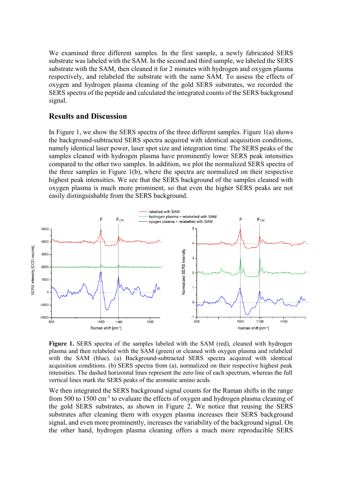We examined three different samples. In the first sample, a newly fabricated SERS substrate was labeled with the SAM. In the second and third sample, we labeled the SERS substrate with the SAM, then cleaned it for 2 minutes with hydrogen and oxygen plasma respectively, and relabeled the substrate with the same SAM. To assess the effects of oxygen and hydrogen plasma cleaning of the gold SERS substrates, we recorded the SERS spectra of the peptide and calculated the integrated counts of the SERS background signal.

#### **Results and Discussion**

In Figure 1, we show the SERS spectra of the three different samples. Figure 1(a) shows the background-subtracted SERS spectra acquired with identical acquisition conditions, namely identical laser power, laser spot size and integration time. The SERS peaks of the samples cleaned with hydrogen plasma have prominently lower SERS peak intensities compared to the other two samples. In addition, we plot the normalized SERS spectra of the three samples in Figure 1(b), where the spectra are normalized on their respective highest peak intensities. We see that the SERS background of the samples cleaned with oxygen plasma is much more prominent, so that even the higher SERS peaks are not easily distinguishable from the SERS background.



**Figure 1.** SERS spectra of the samples labeled with the SAM (red), cleaned with hydrogen plasma and then relabeled with the SAM (green) or cleaned with oxygen plasma and relabeled with the SAM (blue). (a) Background-subtracted SERS spectra acquired with identical acquisition conditions. (b) SERS spectra from (a), normalized on their respective highest peak intensities. The dashed horizontal lines represent the zero line of each spectrum, whereas the full vertical lines mark the SERS peaks of the aromatic amino acids.

We then integrated the SERS background signal counts for the Raman shifts in the range from 500 to  $1500 \text{ cm}^{-1}$  to evaluate the effects of oxygen and hydrogen plasma cleaning of the gold SERS substrates, as shown in Figure 2. We notice that reusing the SERS substrates after cleaning them with oxygen plasma increases their SERS background signal, and even more prominently, increases the variability of the background signal. On the other hand, hydrogen plasma cleaning offers a much more reproducible SERS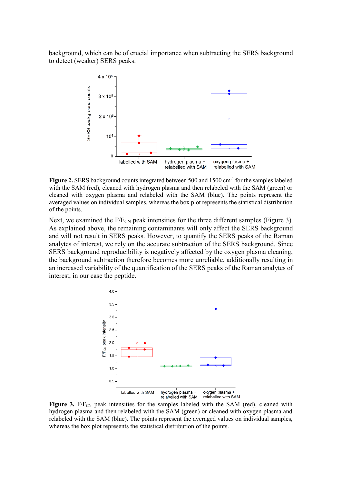background, which can be of crucial importance when subtracting the SERS background to detect (weaker) SERS peaks.



Figure 2. SERS background counts integrated between 500 and 1500 cm<sup>-1</sup> for the samples labeled with the SAM (red), cleaned with hydrogen plasma and then relabeled with the SAM (green) or cleaned with oxygen plasma and relabeled with the SAM (blue). The points represent the averaged values on individual samples, whereas the box plot represents the statistical distribution of the points.

Next, we examined the  $F/F_{CN}$  peak intensities for the three different samples (Figure 3). As explained above, the remaining contaminants will only affect the SERS background and will not result in SERS peaks. However, to quantify the SERS peaks of the Raman analytes of interest, we rely on the accurate subtraction of the SERS background. Since SERS background reproducibility is negatively affected by the oxygen plasma cleaning, the background subtraction therefore becomes more unreliable, additionally resulting in an increased variability of the quantification of the SERS peaks of the Raman analytes of interest, in our case the peptide.



**Figure 3.** F/F<sub>CN</sub> peak intensities for the samples labeled with the SAM (red), cleaned with hydrogen plasma and then relabeled with the SAM (green) or cleaned with oxygen plasma and relabeled with the SAM (blue). The points represent the averaged values on individual samples, whereas the box plot represents the statistical distribution of the points.